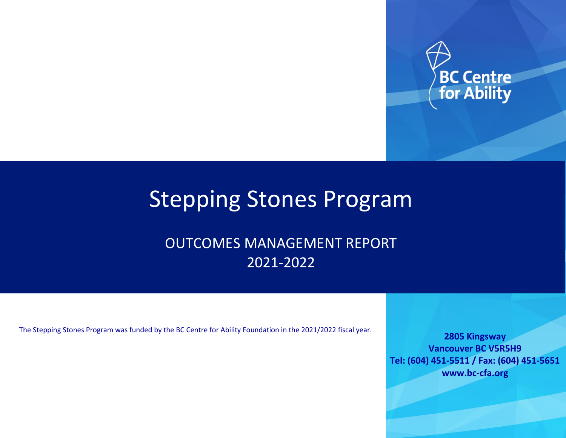

# Stepping Stones Program

OUTCOMES MANAGEMENT REPORT 2021-2022

The Stepping Stones Program was funded by the BC Centre for Ability Foundation in the 2021/2022 fiscal year.

**2805 Kingsway Vancouver BC V5R5H9 Tel: (604) 451-5511 / Fax: (604) 451-5651 www.bc-cfa.org**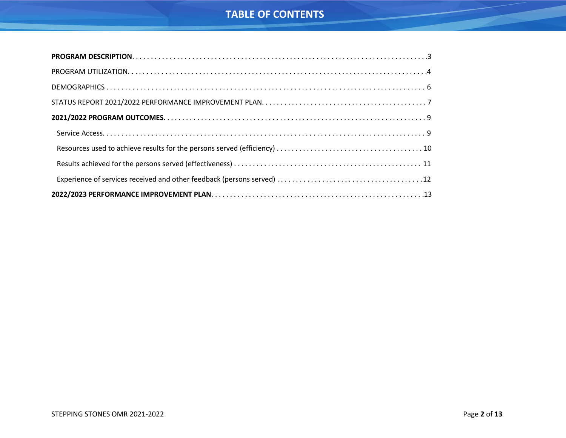## **TABLE OF CONTENTS**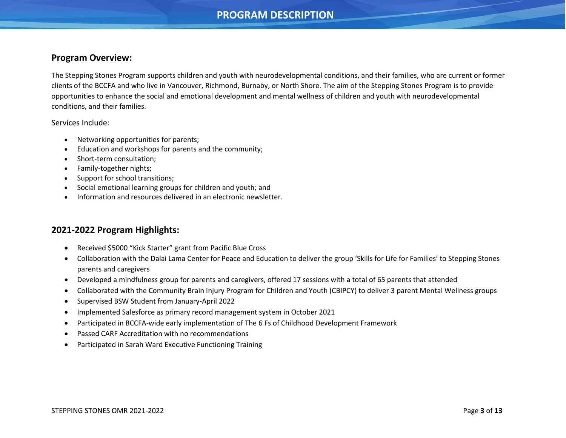## **PROGRAM DESCRIPTION**

### <span id="page-2-0"></span>**Program Overview:**

The Stepping Stones Program supports children and youth with neurodevelopmental conditions, and their families, who are current or former clients of the BCCFA and who live in Vancouver, Richmond, Burnaby, or North Shore. The aim of the Stepping Stones Program is to provide opportunities to enhance the social and emotional development and mental wellness of children and youth with neurodevelopmental conditions, and their families.

Services Include:

- Networking opportunities for parents;
- Education and workshops for parents and the community;
- Short-term consultation;
- Family-together nights;
- Support for school transitions;
- Social emotional learning groups for children and youth; and
- Information and resources delivered in an electronic newsletter.

## **2021-2022 Program Highlights:**

- Received \$5000 "Kick Starter" grant from Pacific Blue Cross
- Collaboration with the Dalai Lama Center for Peace and Education to deliver the group 'Skills for Life for Families' to Stepping Stones parents and caregivers
- Developed a mindfulness group for parents and caregivers, offered 17 sessions with a total of 65 parents that attended
- Collaborated with the Community Brain Injury Program for Children and Youth (CBIPCY) to deliver 3 parent Mental Wellness groups
- Supervised BSW Student from January-April 2022
- Implemented Salesforce as primary record management system in October 2021
- Participated in BCCFA-wide early implementation of The 6 Fs of Childhood Development Framework
- Passed CARF Accreditation with no recommendations
- Participated in Sarah Ward Executive Functioning Training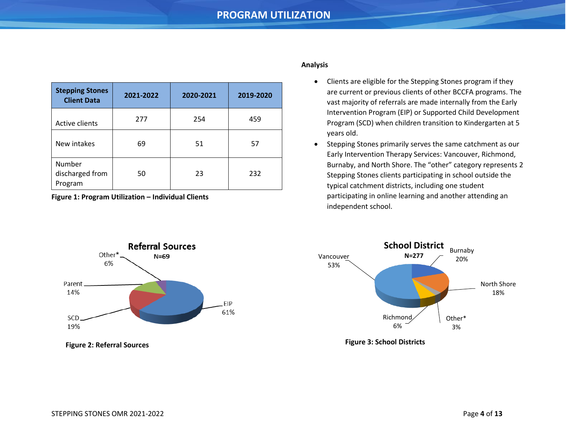## **PROGRAM UTILIZATION**

<span id="page-3-0"></span>

| <b>Stepping Stones</b><br><b>Client Data</b> | 2021-2022 | 2020-2021<br>2019-2020 |     |
|----------------------------------------------|-----------|------------------------|-----|
| Active clients                               | 277       | 254                    | 459 |
| New intakes                                  | 69        | 51                     | 57  |
| Number<br>discharged from<br>Program         | 50        | 23                     | 232 |

**Figure 1: Program Utilization – Individual Clients**



- Clients are eligible for the Stepping Stones program if they are current or previous clients of other BCCFA programs. The vast majority of referrals are made internally from the Early Intervention Program (EIP) or Supported Child Development Program (SCD) when children transition to Kindergarten at 5 years old.
- Stepping Stones primarily serves the same catchment as our Early Intervention Therapy Services: Vancouver, Richmond, Burnaby, and North Shore. The "other" category represents 2 Stepping Stones clients participating in school outside the typical catchment districts, including one student participating in online learning and another attending an independent school.



**Figure 2: Referral Sources**



**Figure 3: School Districts**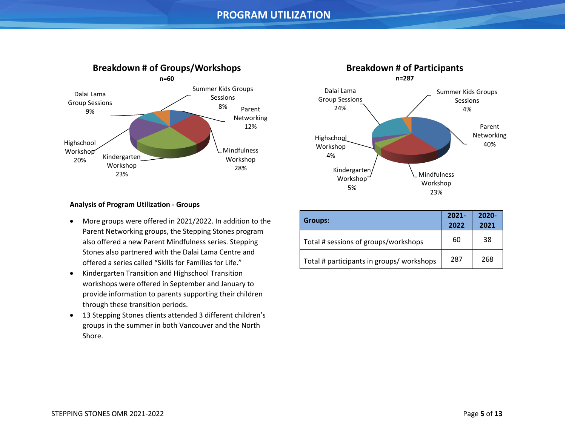

#### Parent Networking 40% Mindfulness Workshop 23% Kindergarten Workshop 5% **Highschool** Workshop 4% Dalai Lama Group Sessions 24% Summer Kids Groups Sessions 4% **Breakdown # of Participants n=287**

#### **Analysis of Program Utilization - Groups**

- More groups were offered in 2021/2022. In addition to the Parent Networking groups, the Stepping Stones program also offered a new Parent Mindfulness series. Stepping Stones also partnered with the Dalai Lama Centre and offered a series called "Skills for Families for Life."
- Kindergarten Transition and Highschool Transition workshops were offered in September and January to provide information to parents supporting their children through these transition periods.
- 13 Stepping Stones clients attended 3 different children's groups in the summer in both Vancouver and the North Shore.

| Groups:                                   | $2021 -$<br>2022 | $2020 -$<br>2021 |
|-------------------------------------------|------------------|------------------|
| Total # sessions of groups/workshops      | 60               | 38               |
| Total # participants in groups/ workshops | 287              | 268              |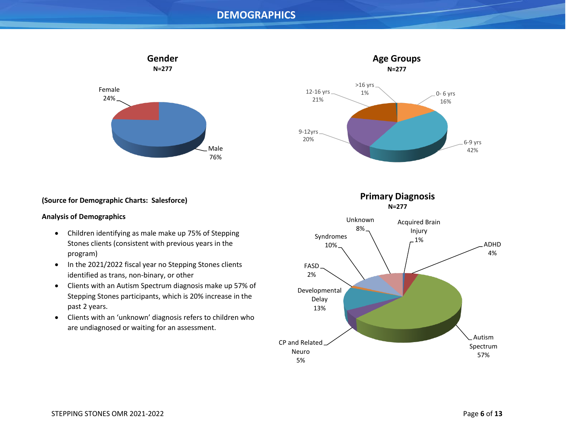## **DEMOGRAPHICS**

<span id="page-5-0"></span>



#### **Analysis of Demographics**

- Children identifying as male make up 75% of Stepping Stones clients (consistent with previous years in the program)
- In the 2021/2022 fiscal year no Stepping Stones clients identified as trans, non-binary, or other
- Clients with an Autism Spectrum diagnosis make up 57% of Stepping Stones participants, which is 20% increase in the past 2 years.
- Clients with an 'unknown' diagnosis refers to children who are undiagnosed or waiting for an assessment.



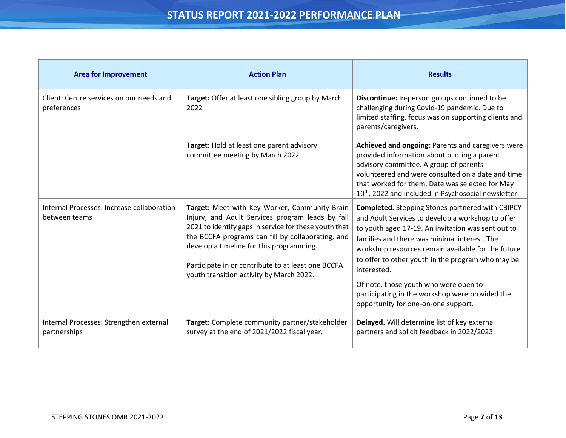<span id="page-6-0"></span>

| <b>Area for Improvement</b>                                 | <b>Action Plan</b>                                                                                                                                                                                                                                                                                                                                            | <b>Results</b>                                                                                                                                                                                                                                                                                                                                                                                                                                                                  |
|-------------------------------------------------------------|---------------------------------------------------------------------------------------------------------------------------------------------------------------------------------------------------------------------------------------------------------------------------------------------------------------------------------------------------------------|---------------------------------------------------------------------------------------------------------------------------------------------------------------------------------------------------------------------------------------------------------------------------------------------------------------------------------------------------------------------------------------------------------------------------------------------------------------------------------|
| Client: Centre services on our needs and<br>preferences     | Target: Offer at least one sibling group by March<br>2022                                                                                                                                                                                                                                                                                                     | Discontinue: In-person groups continued to be<br>challenging during Covid-19 pandemic. Due to<br>limited staffing, focus was on supporting clients and<br>parents/caregivers.                                                                                                                                                                                                                                                                                                   |
|                                                             | Target: Hold at least one parent advisory<br>committee meeting by March 2022                                                                                                                                                                                                                                                                                  | Achieved and ongoing: Parents and caregivers were<br>provided information about piloting a parent<br>advisory committee. A group of parents<br>volunteered and were consulted on a date and time<br>that worked for them. Date was selected for May<br>10 <sup>th</sup> , 2022 and included in Psychosocial newsletter.                                                                                                                                                         |
| Internal Processes: Increase collaboration<br>between teams | Target: Meet with Key Worker, Community Brain<br>Injury, and Adult Services program leads by fall<br>2021 to identify gaps in service for these youth that<br>the BCCFA programs can fill by collaborating, and<br>develop a timeline for this programming.<br>Participate in or contribute to at least one BCCFA<br>youth transition activity by March 2022. | <b>Completed.</b> Stepping Stones partnered with CBIPCY<br>and Adult Services to develop a workshop to offer<br>to youth aged 17-19. An invitation was sent out to<br>families and there was minimal interest. The<br>workshop resources remain available for the future<br>to offer to other youth in the program who may be<br>interested.<br>Of note, those youth who were open to<br>participating in the workshop were provided the<br>opportunity for one-on-one support. |
| Internal Processes: Strengthen external<br>partnerships     | Target: Complete community partner/stakeholder<br>survey at the end of 2021/2022 fiscal year.                                                                                                                                                                                                                                                                 | Delayed. Will determine list of key external<br>partners and solicit feedback in 2022/2023.                                                                                                                                                                                                                                                                                                                                                                                     |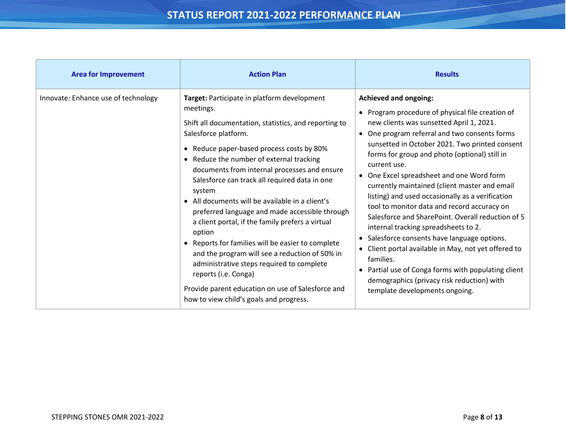| <b>Area for Improvement</b>         | <b>Action Plan</b>                                                                                                                                                                                                                                                                                                                                                                                                                                                                                                                                                                                                                                                                                                                                                                           | <b>Results</b>                                                                                                                                                                                                                                                                                                                                                                                                                                                                                                                                                                                                                                                                                                                                                                                                                                       |
|-------------------------------------|----------------------------------------------------------------------------------------------------------------------------------------------------------------------------------------------------------------------------------------------------------------------------------------------------------------------------------------------------------------------------------------------------------------------------------------------------------------------------------------------------------------------------------------------------------------------------------------------------------------------------------------------------------------------------------------------------------------------------------------------------------------------------------------------|------------------------------------------------------------------------------------------------------------------------------------------------------------------------------------------------------------------------------------------------------------------------------------------------------------------------------------------------------------------------------------------------------------------------------------------------------------------------------------------------------------------------------------------------------------------------------------------------------------------------------------------------------------------------------------------------------------------------------------------------------------------------------------------------------------------------------------------------------|
| Innovate: Enhance use of technology | Target: Participate in platform development<br>meetings.<br>Shift all documentation, statistics, and reporting to<br>Salesforce platform.<br>• Reduce paper-based process costs by 80%<br>• Reduce the number of external tracking<br>documents from internal processes and ensure<br>Salesforce can track all required data in one<br>system<br>• All documents will be available in a client's<br>preferred language and made accessible through<br>a client portal, if the family prefers a virtual<br>option<br>• Reports for families will be easier to complete<br>and the program will see a reduction of 50% in<br>administrative steps required to complete<br>reports (i.e. Conga)<br>Provide parent education on use of Salesforce and<br>how to view child's goals and progress. | <b>Achieved and ongoing:</b><br>• Program procedure of physical file creation of<br>new clients was sunsetted April 1, 2021.<br>One program referral and two consents forms<br>sunsetted in October 2021. Two printed consent<br>forms for group and photo (optional) still in<br>current use.<br>• One Excel spreadsheet and one Word form<br>currently maintained (client master and email<br>listing) and used occasionally as a verification<br>tool to monitor data and record accuracy on<br>Salesforce and SharePoint. Overall reduction of 5<br>internal tracking spreadsheets to 2.<br>Salesforce consents have language options.<br>Client portal available in May, not yet offered to<br>families.<br>• Partial use of Conga forms with populating client<br>demographics (privacy risk reduction) with<br>template developments ongoing. |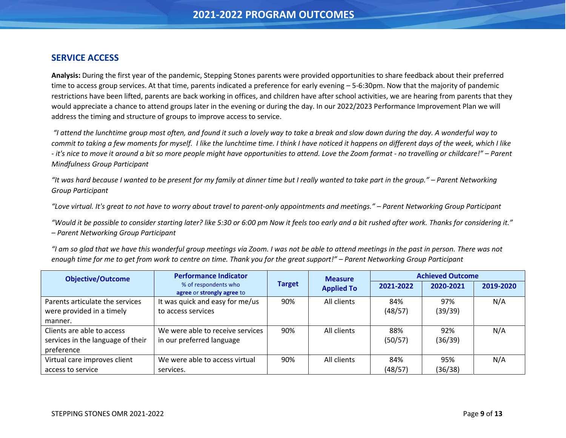## <span id="page-8-0"></span>**SERVICE ACCESS**

**Analysis:** During the first year of the pandemic, Stepping Stones parents were provided opportunities to share feedback about their preferred time to access group services. At that time, parents indicated a preference for early evening – 5-6:30pm. Now that the majority of pandemic restrictions have been lifted, parents are back working in offices, and children have after school activities, we are hearing from parents that they would appreciate a chance to attend groups later in the evening or during the day. In our 2022/2023 Performance Improvement Plan we will address the timing and structure of groups to improve access to service.

*"I attend the lunchtime group most often, and found it such a lovely way to take a break and slow down during the day. A wonderful way to commit to taking a few moments for myself. I like the lunchtime time. I think I have noticed it happens on different days of the week, which I like - it's nice to move it around a bit so more people might have opportunities to attend. Love the Zoom format - no travelling or childcare!" – Parent Mindfulness Group Participant*

*"It was hard because I wanted to be present for my family at dinner time but I really wanted to take part in the group." – Parent Networking Group Participant*

*"Love virtual. It's great to not have to worry about travel to parent-only appointments and meetings." – Parent Networking Group Participant*

*"Would it be possible to consider starting later? like 5:30 or 6:00 pm Now it feels too early and a bit rushed after work. Thanks for considering it." – Parent Networking Group Participant*

*"I am so glad that we have this wonderful group meetings via Zoom. I was not be able to attend meetings in the past in person. There was not enough time for me to get from work to centre on time. Thank you for the great support!" – Parent Networking Group Participant*

<span id="page-8-1"></span>

| <b>Objective/Outcome</b>          | <b>Performance Indicator</b>                       |               |                   |           | <b>Measure</b> |           | <b>Achieved Outcome</b> |  |
|-----------------------------------|----------------------------------------------------|---------------|-------------------|-----------|----------------|-----------|-------------------------|--|
|                                   | % of respondents who<br>agree or strongly agree to | <b>Target</b> | <b>Applied To</b> | 2021-2022 | 2020-2021      | 2019-2020 |                         |  |
| Parents articulate the services   | It was quick and easy for me/us                    | 90%           | All clients       | 84%       | 97%            | N/A       |                         |  |
| were provided in a timely         | to access services                                 |               |                   | (48/57)   | (39/39)        |           |                         |  |
| manner.                           |                                                    |               |                   |           |                |           |                         |  |
| Clients are able to access        | We were able to receive services                   | 90%           | All clients       | 88%       | 92%            | N/A       |                         |  |
| services in the language of their | in our preferred language                          |               |                   | (50/57)   | (36/39)        |           |                         |  |
| preference                        |                                                    |               |                   |           |                |           |                         |  |
| Virtual care improves client      | We were able to access virtual                     | 90%           | All clients       | 84%       | 95%            | N/A       |                         |  |
| access to service                 | services.                                          |               |                   | (48/57)   | (36/38)        |           |                         |  |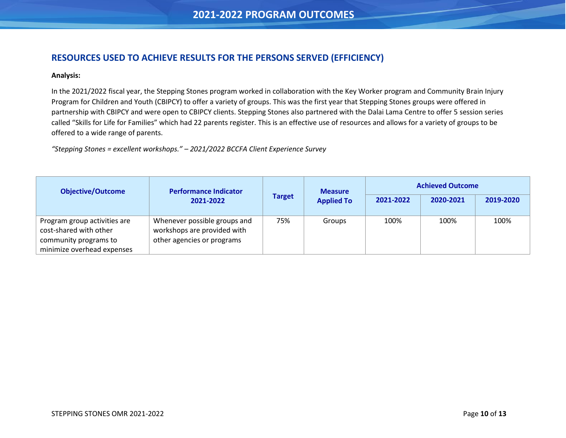## **RESOURCES USED TO ACHIEVE RESULTS FOR THE PERSONS SERVED (EFFICIENCY)**

#### **Analysis:**

In the 2021/2022 fiscal year, the Stepping Stones program worked in collaboration with the Key Worker program and Community Brain Injury Program for Children and Youth (CBIPCY) to offer a variety of groups. This was the first year that Stepping Stones groups were offered in partnership with CBIPCY and were open to CBIPCY clients. Stepping Stones also partnered with the Dalai Lama Centre to offer 5 session series called "Skills for Life for Families" which had 22 parents register. This is an effective use of resources and allows for a variety of groups to be offered to a wide range of parents.

*"Stepping Stones = excellent workshops." – 2021/2022 BCCFA Client Experience Survey*

| <b>Objective/Outcome</b>                                                                                      | <b>Performance Indicator</b>                                                              | <b>Target</b> | <b>Measure</b><br><b>Applied To</b> | <b>Achieved Outcome</b> |           |           |
|---------------------------------------------------------------------------------------------------------------|-------------------------------------------------------------------------------------------|---------------|-------------------------------------|-------------------------|-----------|-----------|
|                                                                                                               | 2021-2022                                                                                 |               |                                     | 2021-2022               | 2020-2021 | 2019-2020 |
| Program group activities are<br>cost-shared with other<br>community programs to<br>minimize overhead expenses | Whenever possible groups and<br>workshops are provided with<br>other agencies or programs | 75%           | Groups                              | 100%                    | 100%      | 100%      |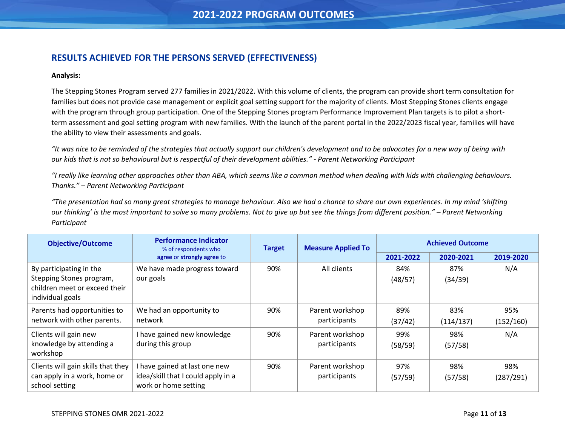## <span id="page-10-0"></span>**RESULTS ACHIEVED FOR THE PERSONS SERVED (EFFECTIVENESS)**

#### **Analysis:**

The Stepping Stones Program served 277 families in 2021/2022. With this volume of clients, the program can provide short term consultation for families but does not provide case management or explicit goal setting support for the majority of clients. Most Stepping Stones clients engage with the program through group participation. One of the Stepping Stones program Performance Improvement Plan targets is to pilot a shortterm assessment and goal setting program with new families. With the launch of the parent portal in the 2022/2023 fiscal year, families will have the ability to view their assessments and goals.

*"It was nice to be reminded of the strategies that actually support our children's development and to be advocates for a new way of being with our kids that is not so behavioural but is respectful of their development abilities." - Parent Networking Participant*

*"I really like learning other approaches other than ABA, which seems like a common method when dealing with kids with challenging behaviours. Thanks." – Parent Networking Participant*

*"The presentation had so many great strategies to manage behaviour. Also we had a chance to share our own experiences. In my mind 'shifting our thinking' is the most important to solve so many problems. Not to give up but see the things from different position." – Parent Networking Participant*

| <b>Objective/Outcome</b>                                                                                 | <b>Performance Indicator</b><br>% of respondents who                                      | <b>Measure Applied To</b><br><b>Target</b> |                                 |                | <b>Achieved Outcome</b> |                  |  |
|----------------------------------------------------------------------------------------------------------|-------------------------------------------------------------------------------------------|--------------------------------------------|---------------------------------|----------------|-------------------------|------------------|--|
|                                                                                                          | agree or strongly agree to                                                                |                                            |                                 | 2021-2022      | 2020-2021               | 2019-2020        |  |
| By participating in the<br>Stepping Stones program,<br>children meet or exceed their<br>individual goals | We have made progress toward<br>our goals                                                 | 90%                                        | All clients                     | 84%<br>(48/57) | 87%<br>(34/39)          | N/A              |  |
| Parents had opportunities to<br>network with other parents.                                              | We had an opportunity to<br>network                                                       | 90%                                        | Parent workshop<br>participants | 89%<br>(37/42) | 83%<br>(114/137)        | 95%<br>(152/160) |  |
| Clients will gain new<br>knowledge by attending a<br>workshop                                            | I have gained new knowledge<br>during this group                                          | 90%                                        | Parent workshop<br>participants | 99%<br>(58/59) | 98%<br>(57/58)          | N/A              |  |
| Clients will gain skills that they<br>can apply in a work, home or<br>school setting                     | have gained at last one new<br>idea/skill that I could apply in a<br>work or home setting | 90%                                        | Parent workshop<br>participants | 97%<br>(57/59) | 98%<br>(57/58)          | 98%<br>(287/291) |  |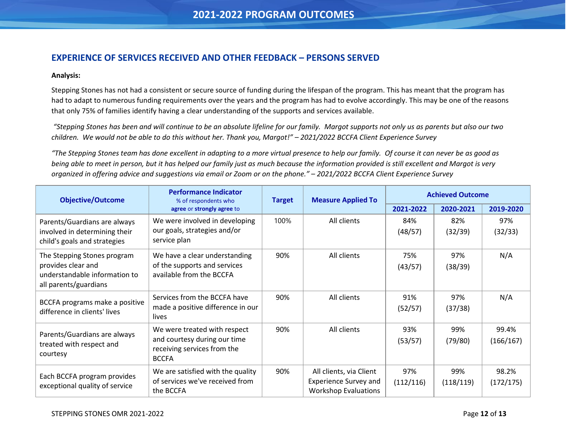## <span id="page-11-0"></span>**EXPERIENCE OF SERVICES RECEIVED AND OTHER FEEDBACK – PERSONS SERVED**

#### **Analysis:**

Stepping Stones has not had a consistent or secure source of funding during the lifespan of the program. This has meant that the program has had to adapt to numerous funding requirements over the years and the program has had to evolve accordingly. This may be one of the reasons that only 75% of families identify having a clear understanding of the supports and services available.

*"Stepping Stones has been and will continue to be an absolute lifeline for our family. Margot supports not only us as parents but also our two children. We would not be able to do this without her. Thank you, Margot!" – 2021/2022 BCCFA Client Experience Survey*

*"The Stepping Stones team has done excellent in adapting to a more virtual presence to help our family. Of course it can never be as good as being able to meet in person, but it has helped our family just as much because the information provided is still excellent and Margot is very organized in offering advice and suggestions via email or Zoom or on the phone." – 2021/2022 BCCFA Client Experience Survey*

| <b>Objective/Outcome</b>                                                                                    | <b>Performance Indicator</b><br>% of respondents who                                                        | <b>Target</b> | <b>Measure Applied To</b>                                                              | <b>Achieved Outcome</b> |                  |                    |
|-------------------------------------------------------------------------------------------------------------|-------------------------------------------------------------------------------------------------------------|---------------|----------------------------------------------------------------------------------------|-------------------------|------------------|--------------------|
|                                                                                                             | agree or strongly agree to                                                                                  |               |                                                                                        | 2021-2022               | 2020-2021        | 2019-2020          |
| Parents/Guardians are always<br>involved in determining their<br>child's goals and strategies               | We were involved in developing<br>our goals, strategies and/or<br>service plan                              | 100%          | All clients                                                                            | 84%<br>(48/57)          | 82%<br>(32/39)   | 97%<br>(32/33)     |
| The Stepping Stones program<br>provides clear and<br>understandable information to<br>all parents/guardians | We have a clear understanding<br>of the supports and services<br>available from the BCCFA                   | 90%           | All clients                                                                            | 75%<br>(43/57)          | 97%<br>(38/39)   | N/A                |
| BCCFA programs make a positive<br>difference in clients' lives                                              | Services from the BCCFA have<br>made a positive difference in our<br>lives                                  | 90%           | All clients                                                                            | 91%<br>(52/57)          | 97%<br>(37/38)   | N/A                |
| Parents/Guardians are always<br>treated with respect and<br>courtesy                                        | We were treated with respect<br>and courtesy during our time<br>receiving services from the<br><b>BCCFA</b> | 90%           | All clients                                                                            | 93%<br>(53/57)          | 99%<br>(79/80)   | 99.4%<br>(166/167) |
| Each BCCFA program provides<br>exceptional quality of service                                               | We are satisfied with the quality<br>of services we've received from<br>the BCCFA                           | 90%           | All clients, via Client<br><b>Experience Survey and</b><br><b>Workshop Evaluations</b> | 97%<br>(112/116)        | 99%<br>(118/119) | 98.2%<br>(172/175) |